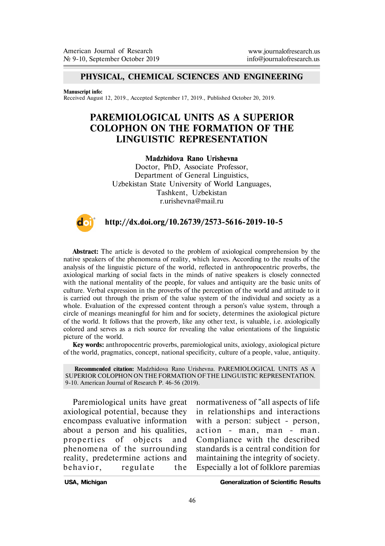### **PHYSICAL, CHEMICAL SCIENCES AND ENGINEERING**

#### **Manuscript info:**

Received August 12, 2019., Accepted September 17, 2019., Published October 20, 2019.

# **PAREMIOLOGICAL UNITS AS A SUPERIOR COLOPHON ON THE FORMATION OF THE LINGUISTIC REPRESENTATION**

### **Madzhidova Rano Urishevna**

Doctor, PhD, Associate Professor, Department of General Linguistics, Uzbekistan State University of World Languages, Tashkent, Uzbekistan r.urishevna@mail.ru



## **http://dx.doi.org/10.26739/2573-5616-2019-10-5**

**Abstract:** The article is devoted to the problem of axiological comprehension by the native speakers of the phenomena of reality, which leaves. According to the results of the analysis of the linguistic picture of the world, reflected in anthropocentric proverbs, the axiological marking of social facts in the minds of native speakers is closely connected with the national mentality of the people, for values and antiquity are the basic units of culture. Verbal expression in the proverbs of the perception of the world and attitude to it is carried out through the prism of the value system of the individual and society as a whole. Evaluation of the expressed content through a person's value system, through a circle of meanings meaningful for him and for society, determines the axiological picture of the world. It follows that the proverb, like any other text, is valuable, i.e. axiologically colored and serves as a rich source for revealing the value orientations of the linguistic picture of the world.

**Key words:** anthropocentric proverbs, paremiological units, axiology, axiological picture of the world, pragmatics, concept, national specificity, culture of a people, value, antiquity.

**Recommended citation:** Madzhidova Rano Urishevna. PAREMIOLOGICAL UNITS AS A SUPERIOR COLOPHON ON THE FORMATION OF THE LINGUISTIC REPRESENTATION. 9-10. American Journal of Research P. 46-56 (2019).

Paremiological units have great axiological potential, because they encompass evaluative information about a person and his qualities, properties of objects and phenomena of the surrounding reality, predetermine actions and behavior, regulate the normativeness of "all aspects of life in relationshi ps and interactions with a person: subject - person, action - man , man - man. Compliance with the described standards is a central condition for maintaining the integrity of society. Especially a lot of folklore paremias

**USA, Michigan Generalization of Scientific Results**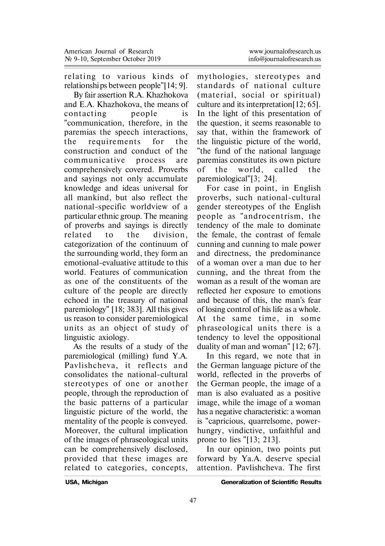relating to various kinds of relationships between people"[14; 9].

By fair assertion R.A. Khazhokova and E.A. Khazhokova, the means of contacting people is "communication, therefore, in the paremias the speech interactions, the requirements for the construction and conduct of the communicative process are comprehensively covered. Proverbs and sayings not only accumulate knowledge and ideas universal for all mankind, but also reflect the national-specific worldview of a particular ethnic group. The meaning of proverbs and sayings is directly related to the division , categorization of the continuum of the surrounding world, they form an emotional-evaluative attitude to this world. Features of communication as one of the constituents of the culture of the people are directly echoed in the treasury of national paremiology" [18; 383]. All this gives us reason to consider paremiological units as an object of study of linguistic axiology.

As the results of a study of the paremiological (milling) fund Y.A. Pavlishcheva, it reflects and consolidates the national-cultural stereotypes of one or another people, through the reproduction of the basic patterns of a particular linguistic picture of the world, the mentality of the people is conveyed. Moreover, the cultural implication of the images of phraseological units can be comprehensively disclosed, provided that these images are related to categories, concepts,

mythologies, stereotypes and standards of national culture (material, social or spiritual) culture and its interpretation[12; 65]. In the light of this presentation of the question, it seems reasonable to say that, within the framework of the linguistic picture of the world, "the fund of the national language paremias constitutes its own picture of the world, called the paremiological"[3; 24].

For case in point, in English proverbs, such national-cultural gender stereotypes of the English people as "androcentrism, the tendency of the male to dominate the female, the contrast of female cunning and cunning to male power and directness, the predominance of a woman over a man due to her cunning, and the threat from the woman as a result of the woman are reflected her exposure to emotions and because of this, the man's fear of losing control of his life as a whole. At the same time, in some phraseological units there is a tendency to level the oppositional duality of man and woman" [12; 67].

In this regard, we note that in the German language picture of the world, reflected in the proverbs of the German people, the image of a man is also evaluated as a positive image, while the image of a woman has a negative characteristic: a woman is "capricious, quarrelsome, powerhungry, vindictive, unfaithful and prone to lies "[13; 213].

In our opinion, two points put forward by Ya.A. deserve special attention. Pavlishcheva. The first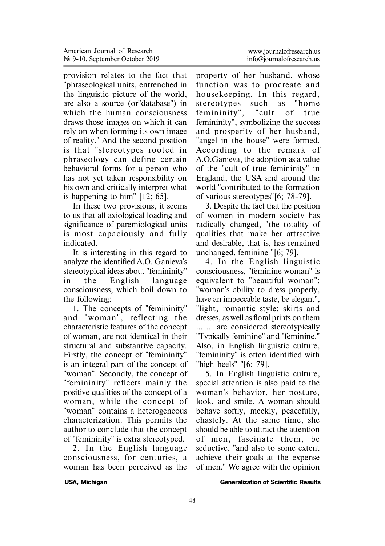provision relates to the fact that "phraseological units, entrenched in the linguistic picture of the world, are also a source (or"database") in which the human consciousness draws those images on which it can rely on when forming its own image of reality." And the second position is that "stereotypes rooted in phraseology can define certain behavioral forms for a person who has not yet taken responsibility on his own and critically interpret what is happening to him" [12; 65].

In these two provisions, it seems to us that all axiological loading and significance of paremiological units is most capaciously and fully indicated.

It is interesting in this regard to analyze the identified A.O. Ganieva's stereotypical ideas about "femininity" in the English language consciousness, which boil down to the following:

1. The concepts of "femininity" and "woman", reflecting the characteristic features of the concept of woman, are not identical in their structural and substantive capacity. Firstly, the concept of "femininity" is an integral part of the concept of "woman". Secondly, the concept of "femininity" reflects mainly the positive qualities of the concept of a woman, while the concept of "woman" contains a heterogeneous characterization. This permits the author to conclude that the concept of "femininity" is extra stereotyped.

2. In the English language consciousness, for centuries, a woman has been perceived as the

property of her husband, whose function was to procreate and housekeeping. In this regard, stereotypes such as "home femininity", "cult of true femininity", symbolizing the success and prosperity of her husband, "angel in the house" were formed. According to the remark of A.O.Ganieva, the adoption as a value of the "cult of true femininity" in England, the USA and around the world "contributed to the formation of various stereotypes"[6; 78-79].

3. Despite the fact that the position of women in modern society has radically changed, "the totality of qualities that make her attractive and desirable, that is, has remained unchanged. feminine "[6; 79].

4. In the English linguistic consciousness, "feminine woman" is equivalent to "beautiful woman": "woman's ability to dress properly, have an impeccable taste, be elegant", "light, romantic style: skirts and dresses, as well as floral prints on them ... ... are considered stereotypically "Typically feminine" and "feminine." Also, in English linguistic culture, "femininity" is often identified with "high heels" "[6; 79].

5. In English linguistic culture, special attention is also paid to the woman's behavior, her posture, look, and smile. A woman should behave softly, meekly, peacefully, chastely. At the same time, she should be able to attract the attention of men, fascinate them, be seductive, "and also to some extent achieve their goals at the expense of men." We agree with the opinion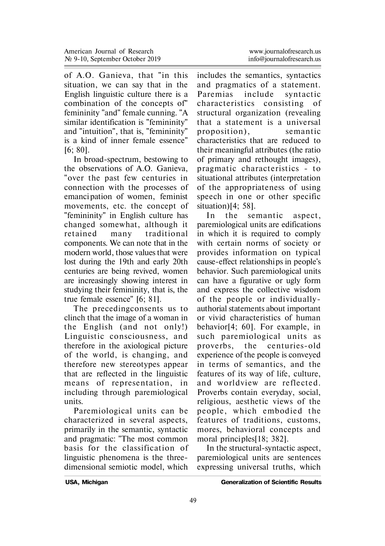of A.O. Ganieva, that "in this situation, we can say that in the English linguistic culture there is a combination of the concepts of" femininity "and" female cunning. "A similar identification is "femininity" and "intuition", that is, "femininity" is a kind of inner female essence" [6; 80].

In broad-spectrum, bestowing to the observations of A.O. Ganieva, "over the past few centuries in connection with the processes of emanci pation of women, feminist movements, etc. the concept of "femininity" in English culture has changed somewhat, although it retained many traditional components. We can note that in the modern world, those values that were lost during the 19th and early 20th centuries are being revived, women are increasingly showing interest in studying their femininity, that is, the true female essence" [6; 81].

The preceding consents us to clinch that the image of a woman in the English (and not only!) Linguistic consciousness, and therefore in the axiological picture of the world, is changing, and therefore new stereotypes appear that are reflected in the linguistic means of representation, in including through paremiological units.

Paremiological units can be characterized in several aspects, primarily in the semantic, syntactic and pragmatic: "The most common basis for the classification of linguistic phenomena is the threedimensional semiotic model, which

includes the semantics, syntactics and pragmatics of a statement. Paremias include syntactic characteristics consisting of structural organization (revealing that a statement is a universal proposition). semantic characteristics that are reduced to their meaningful attributes (the ratio of primary and rethought images), p ragmatic characteristics - to situational attributes (interpretation of the appropriateness of using speech in one or other specific situation)[4; 58].

In the semantic aspect. paremiological units are edifications in which it is required to comply with certain norms of society or provides information on typical cause-effect relationships in people's behavior. Such paremiological units can have a figurative or ugly form and express the collective wisdom of the people or individuallyauthorial statements about important or vivid characteristics of human behavior[4; 60]. For example, in such paremiological units as p roverbs, the cen turies-old experience of the people is conveyed in terms of semantics, and the features of its way of life, culture, and worldview are reflected. Proverbs contain everyday, social, religious, aesthetic views of the people, which embodied the features of traditions, customs, mores, behavioral concepts and moral principles[18; 382].

In the structural-syntactic aspect, paremiological units are sentences expressing universal truths, which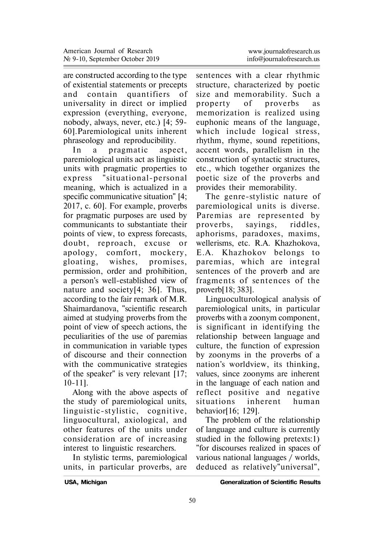are constructed according to the type of existential statements or precepts and contain quantifiers of universality in direct or implied expression (everything, everyone, nobody, always, never, etc.) [4; 59- 60].Paremiological units inherent phraseology and reproducibility.

In a pragmatic aspect, paremiological units act as linguistic units with pragmatic properties to exp ress "situational-personal meaning, which is actualized in a specific communicative situation" [4; 2017, c. 60]. For example, proverbs for pragmatic purposes are used by communicants to substantiate their points of view, to express forecasts, doubt, reproach, excuse or apology, comfort, mockery, gloating, wishes, promises, permission, order and prohibition, a person's well-established view of nature and society[4; 36]. Thus, according to the fair remark of M.R. Shaimardanova, "scientific research aimed at studying proverbs from the point of view of speech actions, the peculiarities of the use of paremias in communication in variable types of discourse and their connection with the communicative strategies of the speaker" is very relevant [17; 10-11].

Along with the above aspects of the study of paremiological units, linguistic-stylistic, cognitive, linguocultural, axiological, and other features of the units under consideration are of increasing interest to linguistic researchers.

In stylistic terms, paremiological units, in particular proverbs, are

sentences with a clear rhythmic structure, characterized by poetic size and memorability. Such a property of proverbs as memorization is realized using euphonic means of the language, which include logical stress, rhythm, rhyme, sound repetitions, accent words, parallelism in the construction of syntactic structures, etc., which together organizes the poetic size of the proverbs and provides their memorability.

The genre-stylistic nature of paremiological units is diverse. Paremias are represented by p roverbs, sayings, riddles, aphorisms, paradoxes, maxims, wellerisms, etc. R.A. Khazhokova, E.A. Khazhokov belongs to paremias, which are in tegral sentences of the proverb and are fragments of sentences of the proverb[18; 383].

Linguoculturological analysis of paremiological units, in particular proverbs with a zoonym component, is significant in identifying the relationship between language and culture, the function of expression by zoonyms in the proverbs of a nation's worldview, its thinking, values, since zoonyms are inherent in the language of each nation and re flect positive and negative situations inherent human behavior[16; 129].

The problem of the relationship of language and culture is currently studied in the following pretexts:1) "for discourses realized in spaces of various national languages / worlds, deduced as relatively"universal",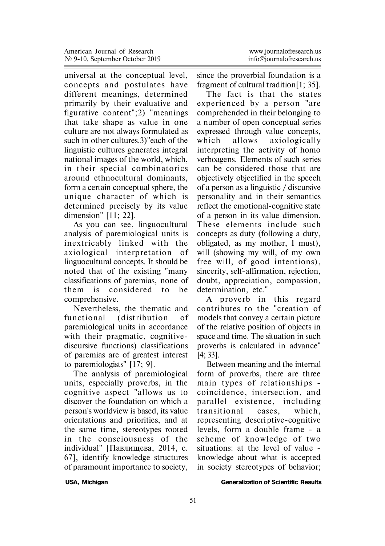universal at the conceptual level, concepts and postulates have different meanings, determined primarily by their evaluative and figurative content";2) "meanings that take shape as value in one culture are not always formulated as such in other cultures.3)"each of the linguistic cultures generates integral national images of the world, which, in their special combinatorics around ethnocultural dominants, form a certain conceptual sphere, the unique character of which is determined precisely by its value dimension" [11; 22].

As you can see, linguocultural analysis of paremiological units is inextricably linked with the axiological interpretation of linguocultural concepts. It should be noted that of the existing "many classifications of paremias, none of them is considered to be comprehensive.

Nevertheless, the thematic and functional (distribution of paremiological units in accordance with their pragmatic, cognitivediscursive functions) classifications of paremias are of greatest interest to paremiologists" [17; 9].

The analysis of paremiological units, especially proverbs, in the cognitive aspect "allows us to discover the foundation on which a person's worldview is based, its value orientations and priorities, and at the same time, stereotypes rooted in the consciousness of the individual" [Павлищева, 2014, с. 67], identify knowledge structures of paramount importance to society,

since the proverbial foundation is a fragment of cultural tradition[1; 35].

The fact is that the states experienced by a person "are comprehended in their belonging to a number of open conceptual series expressed through value concepts, which allows axiologically interpreting the activity of homo verboagens. Elements of such series can be considered those that are objectively objectified in the speech of a person as a linguistic / discursive personality and in their semantics reflect the emotional-cognitive state of a person in its value dimension. These elements include such concepts as duty (following a duty, obligated, as my mother, I must), will (showing my will, of my own free will, of good intentions), sincerity, self-affirmation, rejection, doubt, appreciation, compassion, determination, etc."

A p roverb in this regard contributes to the "creation of models that convey a certain picture of the relative position of objects in space and time. The situation in such proverbs is calculated in advance" [4; 33].

Between meaning and the internal form of proverbs, there are three main types of relationships coincidence, intersection, and parallel existence, including t ransitional cases, which, representing descri ptive-cognitive levels, form a double frame - a scheme of knowledge of two situations: at the level of value knowledge about what is accepted in society stereotypes of behavior;

**USA, Michigan Generalization of Scientific Results**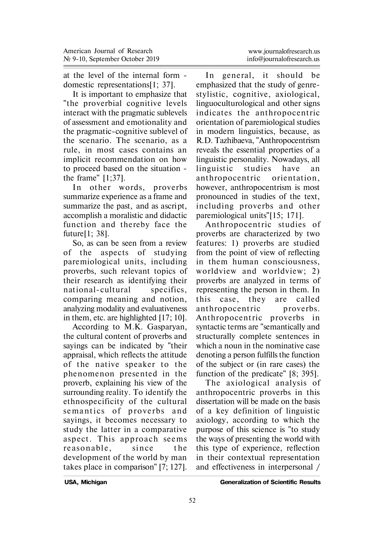at the level of the internal form domestic representations[1; 37].

It is important to emphasize that "the proverbial cognitive levels interact with the pragmatic sublevels of assessment and emotionality and the pragmatic-cognitive sublevel of the scenario. The scenario, as a rule, in most cases contains an implicit recommendation on how to proceed based on the situation the frame" [1;37].

In other words, proverbs summarize experience as a frame and summarize the past, and as a script, accomplish a moralistic and didactic function and thereby face the future[1; 38].

So, as can be seen from a review of the aspects of studying paremiological units, including proverbs, such relevant topics of their research as identifying their national-cultural specifics. comparing meaning and notion, analyzing modality and evaluativeness in them, etc. are highlighted [17; 10].

According to M.K. Gasparyan, the cultural content of proverbs and sayings can be indicated by "their appraisal, which reflects the attitude of the native speaker to the phenomenon presented in the proverb, explaining his view of the surrounding reality. To identify the ethnospecificity of the cultural semantics of proverbs and sayings, it becomes necessary to study the latter in a comparative aspect. This approach seems re a son a ble, since the development of the world by man takes place in comparison" [7; 127].

In general, it should be emphasized that the study of genrestylistic, cognitive, axiological, linguoculturological and other signs indicates the anthropocentric orientation of paremiological studies in modern linguistics, because, as R.D. Tazhibaeva, "Anthropocentrism reveals the essential properties of a linguistic personality. Nowadays, all<br>linguistic studies have an linguistic studies have an anthropocentric orientation. however, anthropocentrism is most pronounced in studies of the text, including proverbs and other paremiological units"[15; 171].

Anthropocentric studies of proverbs are characterized by two features: 1) proverbs are studied from the point of view of reflecting in them human consciousness, worldview and worldview: 2) proverbs are analyzed in terms of representing the person in them. In this case, they are called anthropocentric proverbs. Anthropocentric proverbs in syntactic terms are "semantically and structurally complete sentences in which a noun in the nominative case denoting a person fulfills the function of the subject or (in rare cases) the function of the predicate" [8; 395].

The axiological analysis of anthropocentric proverbs in this dissertation will be made on the basis of a key definition of linguistic axiology, according to which the purpose of this science is "to study the ways of presenting the world with this type of experience, reflection in their contextual representation and effectiveness in interpersonal /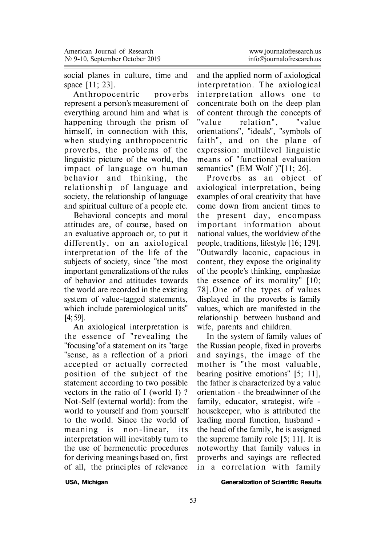social planes in culture, time and space [11; 23].

Anthropocentric proverbs represent a person's measurement of everything around him and what is happening through the prism of himself, in connection with this, when studying anthropocentric proverbs, the problems of the linguistic picture of the world, the impact of language on human behavior and thinking, the relationship of language and society, the relationship of language and spiritual culture of a people etc.

Behavioral concepts and moral attitudes are, of course, based on an evaluative approach or, to put it differently, on an axiological interpretation of the life of the subjects of society, since "the most important generalizations of the rules of behavior and attitudes towards the world are recorded in the existing system of value-tagged statements, which include paremiological units" [4; 59].

An axiological interpretation is the essence of "revealing the "focusing"of a statement on its "targe "sense, as a reflection of a priori accepted or actually corrected position of the subject of the statement according to two possible vectors in the ratio of I (world I) ? Not-Self (external world): from the world to yourself and from yourself to the world. Since the world of meaning is non-linear, its interpretation will inevitably turn to the use of hermeneutic procedures for deriving meanings based on, first of all, the princi ples of relevance

and the applied norm of axiological in terp retation. The axiological interpretation allows one to concentrate both on the deep plan of content through the concepts of "value relation", "value orientations", "ideals", "symbols of faith", and on the plane of expression: multilevel linguistic means of "functional evaluation semantics" (EM Wolf )"[11; 26].

Proverbs as an object of axiological interpretation, being examples of oral creativity that have come down from ancient times to the present day, encompass important information about national values, the worldview of the people, traditions, lifestyle [16; 129]. "Outwardly laconic, capacious in content, they expose the originality of the people's thinking, emphasize the essence of its morality" [10; 78]. One of the types of values displayed in the proverbs is family values, which are manifested in the relationship between husband and wife, parents and children.

In the system of family values of the Russian people, fixed in proverbs and sayings, the image of the mother is "the most valuable, bearing positive emotions" [5; 11], the father is characterized by a value orientation - the breadwinner of the family, educator, strategist, wife housekeeper, who is attributed the leading moral function, husband the head of the family, he is assigned the supreme family role [5; 11]. It is noteworthy that family values in proverbs and sayings are reflected in a correlation with family

**USA, Michigan Generalization of Scientific Results**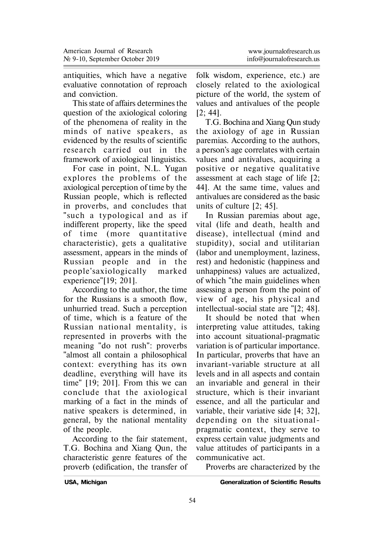antiquities, which have a negative evaluative connotation of reproach and conviction.

This state of affairs determines the question of the axiological coloring of the phenomena of reality in the minds of native speakers, as evidenced by the results of scientific research carried out in the framework of axiological linguistics.

For case in point, N.L. Yugan explores the problems of the axiological perception of time by the Russian people, which is reflected in proverbs, and concludes that "such a typological and as if indifferent property, like the speed of time (more quantitative characteristic), gets a qualitative assessment, appears in the minds of Russian people and in the people'saxiologically marked experience"[19; 201].

According to the author, the time for the Russians is a smooth flow, unhurried tread. Such a perception of time, which is a feature of the Russian national mentality, is represented in proverbs with the meaning "do not rush": proverbs "almost all contain a philosophical context: everything has its own deadline, everything will have its time" [19; 201]. From this we can conclude that the axiological marking of a fact in the minds of native speakers is determined, in general, by the national mentality of the people.

According to the fair statement, T.G. Bochina and Xiang Qun, the characteristic genre features of the proverb (edification, the transfer of

folk wisdom, experience, etc.) are closely related to the axiological picture of the world, the system of values and antivalues of the people [2; 44].

T.G. Bochina and Xiang Qun study the axiology of age in Russian paremias. According to the authors, a person's age correlates with certain values and antivalues, acquiring a positive or negative qualitative assessment at each stage of life [2; 44]. At the same time, values and antivalues are considered as the basic units of culture [2; 45].

In Russian paremias about age, vital (life and death, health and disease), intellectual (mind and stupidity), social and utilitarian (labor and unemployment, laziness, rest) and hedonistic (happiness and unhappiness) values are actualized, of which "the main guidelines when assessing a person from the point of view of age, his physical and intellectual-social state are "[2; 48].

It should be noted that when interpreting value attitudes, taking into account situational-pragmatic variation is of particular importance. In particular, proverbs that have an invariant-variable structure at all levels and in all aspects and contain an invariable and general in their structure, which is their invariant essence, and all the particular and variable, their variative side [4; 32], depending on the situationalpragmatic context, they serve to express certain value judgments and value attitudes of participants in a communicative act.

Proverbs are characterized by the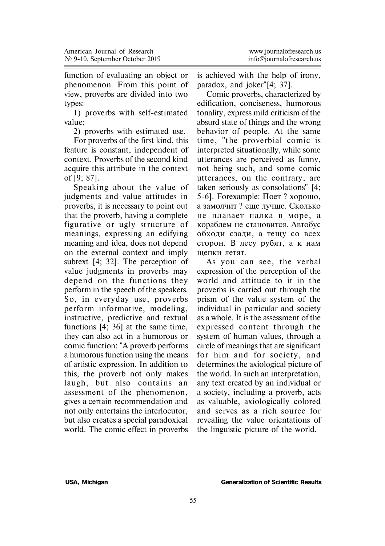| www.journalofresearch.us  |
|---------------------------|
| info@iournalofresearch.us |

function of evaluating an object or phenomenon. From this point of view, proverbs are divided into two types:

1) proverbs with self-estimated value;

2) proverbs with estimated use.

For proverbs of the first kind, this feature is constant, independent of context. Proverbs of the second kind acquire this attribute in the context of [9; 87].

Speaking about the value of judgments and value attitudes in proverbs, it is necessary to point out that the proverb, having a complete figurative or ugly structure of meanings, expressing an edifying meaning and idea, does not depend on the external context and imply subtext [4; 32]. The perception of value judgments in proverbs may depend on the functions they perform in the speech of the speakers. So, in everyday use, proverbs perform informative, modeling, instructive, predictive and textual functions [4; 36] at the same time, they can also act in a humorous or comic function: "A proverb performs a humorous function using the means of artistic expression. In addition to this, the proverb not only makes laugh, but also contains an assessment of the phenomenon, gives a certain recommendation and not only entertains the interlocutor, but also creates a special paradoxical world. The comic effect in proverbs

is achieved with the help of irony, paradox, and joker"[4; 37].

Comic proverbs, characterized by edification, conciseness, humorous tonality, express mild criticism of the absurd state of things and the wrong behavior of people. At the same time. "the proverbial comic is interpreted situationally, while some utterances are perceived as funny, not being such, and some comic utterances, on the contrary, are taken seriously as consolations" [4; 5-6]. Forexample: Поет? хорошо, а замолчит? еще лучше. Сколько не плавает палка в море, а кораблем не становится. Автобус обходи сзади, а тещу со всех сторон. В лесу рубят, а к нам щепки летят.

As you can see, the verbal expression of the perception of the world and attitude to it in the proverbs is carried out through the prism of the value system of the individual in particular and society as a whole. It is the assessment of the expressed content through the system of human values, through a circle of meanings that are significant for him and for society, and determines the axiological picture of the world. In such an interpretation, any text created by an individual or a society, including a proverb, acts as valuable, axiologically colored and serves as a rich source for revealing the value orientations of the linguistic picture of the world.